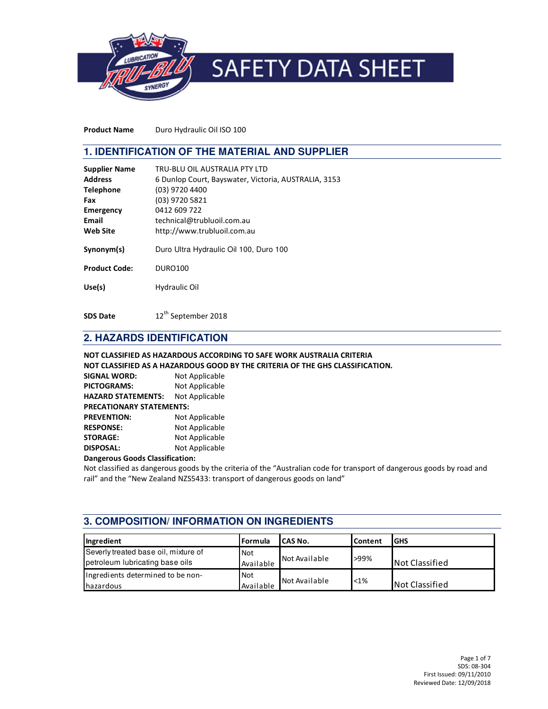

Product Name Duro Hydraulic Oil ISO 100

## **1. IDENTIFICATION OF THE MATERIAL AND SUPPLIER**

| <b>Supplier Name</b><br><b>Address</b><br><b>Telephone</b><br>Fax<br>Emergency<br>Email | TRU-BLU OIL AUSTRALIA PTY LTD<br>6 Dunlop Court, Bayswater, Victoria, AUSTRALIA, 3153<br>(03) 9720 4400<br>(03) 9720 5821<br>0412 609 722<br>technical@trubluoil.com.au |
|-----------------------------------------------------------------------------------------|-------------------------------------------------------------------------------------------------------------------------------------------------------------------------|
|                                                                                         |                                                                                                                                                                         |
| <b>Web Site</b>                                                                         | http://www.trubluoil.com.au                                                                                                                                             |
| Synonym(s)                                                                              | Duro Ultra Hydraulic Oil 100, Duro 100                                                                                                                                  |
| <b>Product Code:</b>                                                                    | <b>DURO100</b>                                                                                                                                                          |
| Use(s)                                                                                  | Hydraulic Oil                                                                                                                                                           |

SDS Date 12<sup>th</sup> September 2018

# **2. HAZARDS IDENTIFICATION**

#### NOT CLASSIFIED AS HAZARDOUS ACCORDING TO SAFE WORK AUSTRALIA CRITERIA NOT CLASSIFIED AS A HAZARDOUS GOOD BY THE CRITERIA OF THE GHS CLASSIFICATION.

| <b>SIGNAL WORD:</b>             | Not Applicable |  |
|---------------------------------|----------------|--|
| <b>PICTOGRAMS:</b>              | Not Applicable |  |
| <b>HAZARD STATEMENTS:</b>       | Not Applicable |  |
| <b>PRECATIONARY STATEMENTS:</b> |                |  |
| <b>PREVENTION:</b>              | Not Applicable |  |
| <b>RESPONSE:</b>                | Not Applicable |  |
| <b>STORAGE:</b>                 | Not Applicable |  |
| <b>DISPOSAL:</b>                | Not Applicable |  |

#### Dangerous Goods Classification:

Not classified as dangerous goods by the criteria of the "Australian code for transport of dangerous goods by road and rail" and the "New Zealand NZS5433: transport of dangerous goods on land"

# **3. COMPOSITION/ INFORMATION ON INGREDIENTS**

| Ingredient                                                              | l Formula               | lCAS No.      | <b>Content</b> | <b>GHS</b>            |
|-------------------------------------------------------------------------|-------------------------|---------------|----------------|-----------------------|
| Severly treated base oil, mixture of<br>petroleum lubricating base oils | <b>Not</b><br>Available | Not Available | >99%           | <b>Not Classified</b> |
| Ingredients determined to be non-<br><b>I</b> hazardous                 | <b>Not</b><br>Available | Not Available | <1%            | <b>Not Classified</b> |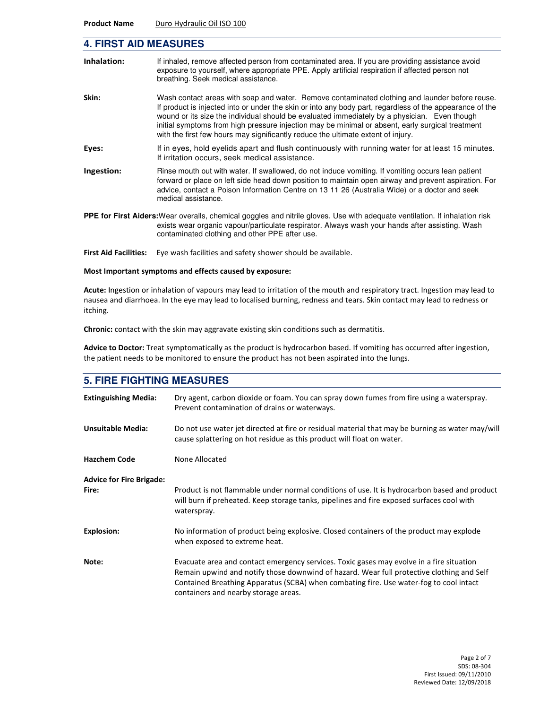#### **4. FIRST AID MEASURES**

| Inhalation: | If inhaled, remove affected person from contaminated area. If you are providing assistance avoid<br>exposure to yourself, where appropriate PPE. Apply artificial respiration if affected person not<br>breathing. Seek medical assistance.                                                                                                                                                                                                                                                        |
|-------------|----------------------------------------------------------------------------------------------------------------------------------------------------------------------------------------------------------------------------------------------------------------------------------------------------------------------------------------------------------------------------------------------------------------------------------------------------------------------------------------------------|
| Skin:       | Wash contact areas with soap and water. Remove contaminated clothing and launder before reuse.<br>If product is injected into or under the skin or into any body part, regardless of the appearance of the<br>wound or its size the individual should be evaluated immediately by a physician. Even though<br>initial symptoms from high pressure injection may be minimal or absent, early surgical treatment<br>with the first few hours may significantly reduce the ultimate extent of injury. |
| Eyes:       | If in eyes, hold eyelids apart and flush continuously with running water for at least 15 minutes.<br>If irritation occurs, seek medical assistance.                                                                                                                                                                                                                                                                                                                                                |
| Ingestion:  | Rinse mouth out with water. If swallowed, do not induce vomiting. If vomiting occurs lean patient<br>forward or place on left side head down position to maintain open airway and prevent aspiration. For<br>advice, contact a Poison Information Centre on 13 11 26 (Australia Wide) or a doctor and seek<br>medical assistance.                                                                                                                                                                  |
|             | <b>PPE for First Aiders:</b> Wear overalls, chemical goggles and nitrile gloves. Use with adequate ventilation. If inhalation risk<br>exists wear organic vapour/particulate respirator. Always wash your hands after assisting. Wash<br>contaminated clothing and other PPE after use.                                                                                                                                                                                                            |
|             | $\sim$ . The distribution of the state of the state of the state of the state of the state of the state of the state of the state of the state of the state of the state of the state of the state of the state of the state of                                                                                                                                                                                                                                                                    |

First Aid Facilities: Eye wash facilities and safety shower should be available.

#### Most Important symptoms and effects caused by exposure:

Acute: Ingestion or inhalation of vapours may lead to irritation of the mouth and respiratory tract. Ingestion may lead to nausea and diarrhoea. In the eye may lead to localised burning, redness and tears. Skin contact may lead to redness or itching.

Chronic: contact with the skin may aggravate existing skin conditions such as dermatitis.

Advice to Doctor: Treat symptomatically as the product is hydrocarbon based. If vomiting has occurred after ingestion, the patient needs to be monitored to ensure the product has not been aspirated into the lungs.

| <b>5. FIRE FIGHTING MEASURES</b>         |                                                                                                                                                                                                                                                                                                                         |  |  |
|------------------------------------------|-------------------------------------------------------------------------------------------------------------------------------------------------------------------------------------------------------------------------------------------------------------------------------------------------------------------------|--|--|
| <b>Extinguishing Media:</b>              | Dry agent, carbon dioxide or foam. You can spray down fumes from fire using a waterspray.<br>Prevent contamination of drains or waterways.                                                                                                                                                                              |  |  |
| <b>Unsuitable Media:</b>                 | Do not use water jet directed at fire or residual material that may be burning as water may/will<br>cause splattering on hot residue as this product will float on water.                                                                                                                                               |  |  |
| <b>Hazchem Code</b>                      | None Allocated                                                                                                                                                                                                                                                                                                          |  |  |
| <b>Advice for Fire Brigade:</b><br>Fire: | Product is not flammable under normal conditions of use. It is hydrocarbon based and product<br>will burn if preheated. Keep storage tanks, pipelines and fire exposed surfaces cool with<br>waterspray.                                                                                                                |  |  |
| <b>Explosion:</b>                        | No information of product being explosive. Closed containers of the product may explode<br>when exposed to extreme heat.                                                                                                                                                                                                |  |  |
| Note:                                    | Evacuate area and contact emergency services. Toxic gases may evolve in a fire situation<br>Remain upwind and notify those downwind of hazard. Wear full protective clothing and Self<br>Contained Breathing Apparatus (SCBA) when combating fire. Use water-fog to cool intact<br>containers and nearby storage areas. |  |  |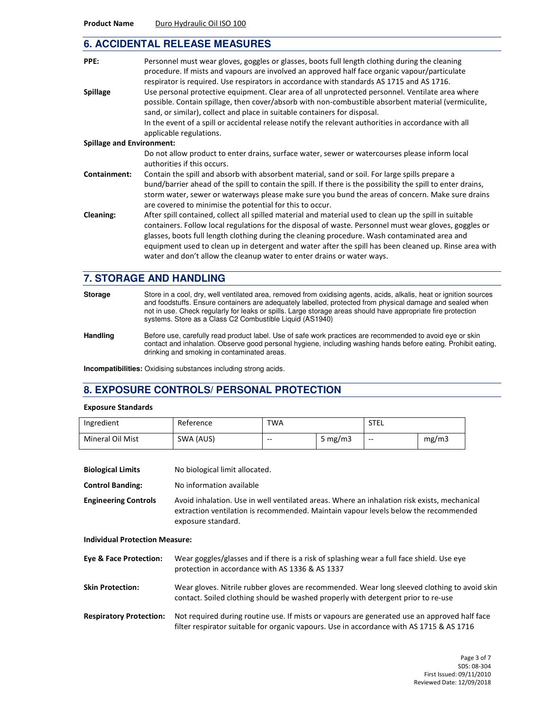#### **6. ACCIDENTAL RELEASE MEASURES**

| PPE:                             | Personnel must wear gloves, goggles or glasses, boots full length clothing during the cleaning<br>procedure. If mists and vapours are involved an approved half face organic vapour/particulate<br>respirator is required. Use respirators in accordance with standards AS 1715 and AS 1716.                                                                                                                                                                                                           |
|----------------------------------|--------------------------------------------------------------------------------------------------------------------------------------------------------------------------------------------------------------------------------------------------------------------------------------------------------------------------------------------------------------------------------------------------------------------------------------------------------------------------------------------------------|
| <b>Spillage</b>                  | Use personal protective equipment. Clear area of all unprotected personnel. Ventilate area where<br>possible. Contain spillage, then cover/absorb with non-combustible absorbent material (vermiculite,<br>sand, or similar), collect and place in suitable containers for disposal.<br>In the event of a spill or accidental release notify the relevant authorities in accordance with all<br>applicable regulations.                                                                                |
| <b>Spillage and Environment:</b> |                                                                                                                                                                                                                                                                                                                                                                                                                                                                                                        |
|                                  | Do not allow product to enter drains, surface water, sewer or watercourses please inform local<br>authorities if this occurs.                                                                                                                                                                                                                                                                                                                                                                          |
| Containment:                     | Contain the spill and absorb with absorbent material, sand or soil. For large spills prepare a<br>bund/barrier ahead of the spill to contain the spill. If there is the possibility the spill to enter drains,<br>storm water, sewer or waterways please make sure you bund the areas of concern. Make sure drains<br>are covered to minimise the potential for this to occur.                                                                                                                         |
| Cleaning:                        | After spill contained, collect all spilled material and material used to clean up the spill in suitable<br>containers. Follow local regulations for the disposal of waste. Personnel must wear gloves, goggles or<br>glasses, boots full length clothing during the cleaning procedure. Wash contaminated area and<br>equipment used to clean up in detergent and water after the spill has been cleaned up. Rinse area with<br>water and don't allow the cleanup water to enter drains or water ways. |

### **7. STORAGE AND HANDLING**

Storage **Store in a cool, dry, well ventilated area**, removed from oxidising agents, acids, alkalis, heat or ignition sources and foodstuffs. Ensure containers are adequately labelled, protected from physical damage and sealed when not in use. Check regularly for leaks or spills. Large storage areas should have appropriate fire protection systems. Store as a Class C2 Combustible Liquid (AS1940)

**Handling** Before use, carefully read product label. Use of safe work practices are recommended to avoid eye or skin contact and inhalation. Observe good personal hygiene, including washing hands before eating. Prohibit eating, drinking and smoking in contaminated areas.

**Incompatibilities:** Oxidising substances including strong acids.

### **8. EXPOSURE CONTROLS/ PERSONAL PROTECTION**

#### Exposure Standards

| Ingredient       | Reference | <b>TWA</b> |           | <b>STEL</b> |       |
|------------------|-----------|------------|-----------|-------------|-------|
| Mineral Oil Mist | SWA (AUS) | $- -$      | 5 $mg/m3$ | $- -$       | mg/m3 |

| <b>Biological Limits</b>    | No biological limit allocated.                  |
|-----------------------------|-------------------------------------------------|
| <b>Control Banding:</b>     | No information available                        |
| <b>Engineering Controls</b> | Avoid inhalation. Use in well ventilated areas. |

Where an inhalation risk exists, mechanical extraction ventilation is recommended. Maintain vapour levels below the recommended exposure standard.

Individual Protection Measure:

| <b>Eve &amp; Face Protection:</b> | Wear goggles/glasses and if there is a risk of splashing wear a full face shield. Use eye<br>protection in accordance with AS 1336 & AS 1337                                             |
|-----------------------------------|------------------------------------------------------------------------------------------------------------------------------------------------------------------------------------------|
| <b>Skin Protection:</b>           | Wear gloves. Nitrile rubber gloves are recommended. Wear long sleeved clothing to avoid skin<br>contact. Soiled clothing should be washed properly with detergent prior to re-use        |
| <b>Respiratory Protection:</b>    | Not required during routine use. If mists or vapours are generated use an approved half face<br>filter respirator suitable for organic vapours. Use in accordance with AS 1715 & AS 1716 |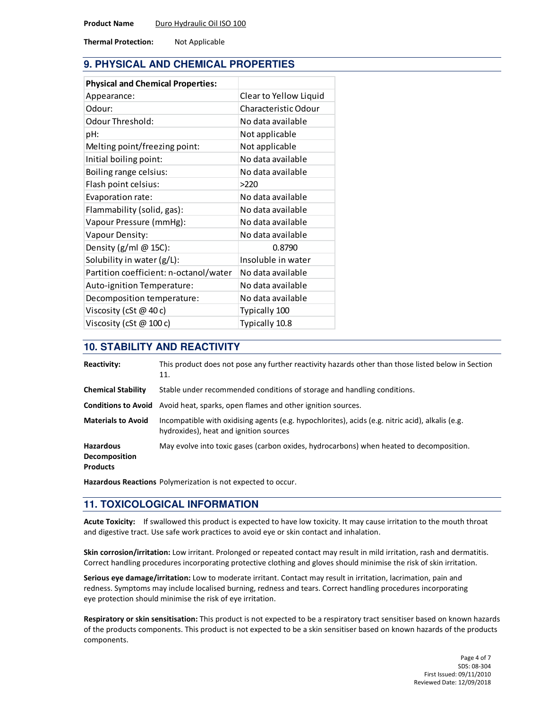Thermal Protection: Not Applicable

# **9. PHYSICAL AND CHEMICAL PROPERTIES**

| <b>Physical and Chemical Properties:</b> |                        |
|------------------------------------------|------------------------|
| Appearance:                              | Clear to Yellow Liquid |
| Odour:                                   | Characteristic Odour   |
| Odour Threshold:                         | No data available      |
| pH:                                      | Not applicable         |
| Melting point/freezing point:            | Not applicable         |
| Initial boiling point:                   | No data available      |
| Boiling range celsius:                   | No data available      |
| Flash point celsius:                     | >220                   |
| Evaporation rate:                        | No data available      |
| Flammability (solid, gas):               | No data available      |
| Vapour Pressure (mmHg):                  | No data available      |
| Vapour Density:                          | No data available      |
| Density $(g/ml \ @$ 15C):                | 0.8790                 |
| Solubility in water (g/L):               | Insoluble in water     |
| Partition coefficient: n-octanol/water   | No data available      |
| Auto-ignition Temperature:               | No data available      |
| Decomposition temperature:               | No data available      |
| Viscosity (cSt $@$ 40 c)                 | Typically 100          |
| Viscosity (cSt $@100c$ )                 | Typically 10.8         |

## **10. STABILITY AND REACTIVITY**

| <b>Reactivity:</b>                                          | This product does not pose any further reactivity hazards other than those listed below in Section<br>11.                                  |
|-------------------------------------------------------------|--------------------------------------------------------------------------------------------------------------------------------------------|
| <b>Chemical Stability</b>                                   | Stable under recommended conditions of storage and handling conditions.                                                                    |
|                                                             | <b>Conditions to Avoid</b> Avoid heat, sparks, open flames and other ignition sources.                                                     |
| <b>Materials to Avoid</b>                                   | Incompatible with oxidising agents (e.g. hypochlorites), acids (e.g. nitric acid), alkalis (e.g.<br>hydroxides), heat and ignition sources |
| <b>Hazardous</b><br><b>Decomposition</b><br><b>Products</b> | May evolve into toxic gases (carbon oxides, hydrocarbons) when heated to decomposition.                                                    |

Hazardous Reactions Polymerization is not expected to occur.

# **11. TOXICOLOGICAL INFORMATION**

Acute Toxicity: If swallowed this product is expected to have low toxicity. It may cause irritation to the mouth throat and digestive tract. Use safe work practices to avoid eye or skin contact and inhalation.

Skin corrosion/irritation: Low irritant. Prolonged or repeated contact may result in mild irritation, rash and dermatitis. Correct handling procedures incorporating protective clothing and gloves should minimise the risk of skin irritation.

Serious eye damage/irritation: Low to moderate irritant. Contact may result in irritation, lacrimation, pain and redness. Symptoms may include localised burning, redness and tears. Correct handling procedures incorporating eye protection should minimise the risk of eye irritation.

Respiratory or skin sensitisation: This product is not expected to be a respiratory tract sensitiser based on known hazards of the products components. This product is not expected to be a skin sensitiser based on known hazards of the products components.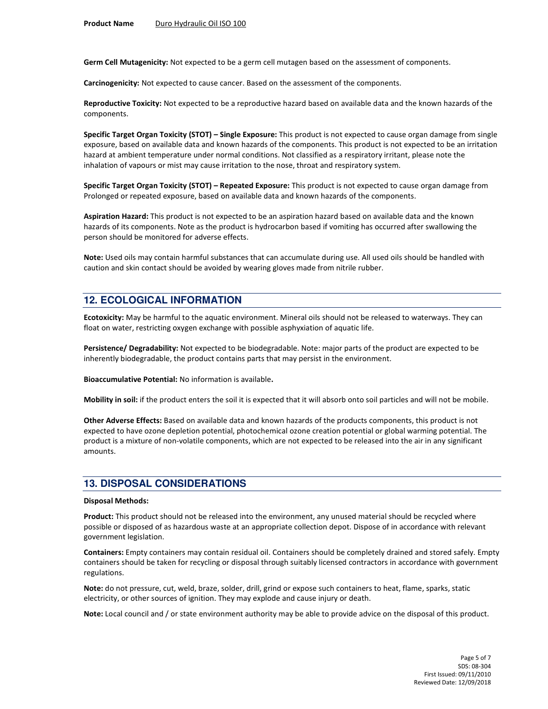Germ Cell Mutagenicity: Not expected to be a germ cell mutagen based on the assessment of components.

Carcinogenicity: Not expected to cause cancer. Based on the assessment of the components.

Reproductive Toxicity: Not expected to be a reproductive hazard based on available data and the known hazards of the components.

Specific Target Organ Toxicity (STOT) – Single Exposure: This product is not expected to cause organ damage from single exposure, based on available data and known hazards of the components. This product is not expected to be an irritation hazard at ambient temperature under normal conditions. Not classified as a respiratory irritant, please note the inhalation of vapours or mist may cause irritation to the nose, throat and respiratory system.

Specific Target Organ Toxicity (STOT) – Repeated Exposure: This product is not expected to cause organ damage from Prolonged or repeated exposure, based on available data and known hazards of the components.

Aspiration Hazard: This product is not expected to be an aspiration hazard based on available data and the known hazards of its components. Note as the product is hydrocarbon based if vomiting has occurred after swallowing the person should be monitored for adverse effects.

Note: Used oils may contain harmful substances that can accumulate during use. All used oils should be handled with caution and skin contact should be avoided by wearing gloves made from nitrile rubber.

# **12. ECOLOGICAL INFORMATION**

Ecotoxicity: May be harmful to the aquatic environment. Mineral oils should not be released to waterways. They can float on water, restricting oxygen exchange with possible asphyxiation of aquatic life.

Persistence/ Degradability: Not expected to be biodegradable. Note: major parts of the product are expected to be inherently biodegradable, the product contains parts that may persist in the environment.

Bioaccumulative Potential: No information is available.

Mobility in soil: if the product enters the soil it is expected that it will absorb onto soil particles and will not be mobile.

Other Adverse Effects: Based on available data and known hazards of the products components, this product is not expected to have ozone depletion potential, photochemical ozone creation potential or global warming potential. The product is a mixture of non-volatile components, which are not expected to be released into the air in any significant amounts.

#### **13. DISPOSAL CONSIDERATIONS**

#### Disposal Methods:

Product: This product should not be released into the environment, any unused material should be recycled where possible or disposed of as hazardous waste at an appropriate collection depot. Dispose of in accordance with relevant government legislation.

Containers: Empty containers may contain residual oil. Containers should be completely drained and stored safely. Empty containers should be taken for recycling or disposal through suitably licensed contractors in accordance with government regulations.

Note: do not pressure, cut, weld, braze, solder, drill, grind or expose such containers to heat, flame, sparks, static electricity, or other sources of ignition. They may explode and cause injury or death.

Note: Local council and / or state environment authority may be able to provide advice on the disposal of this product.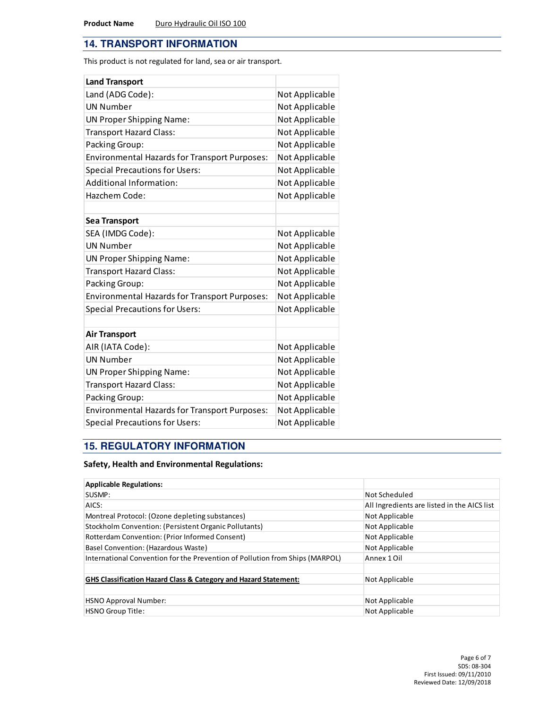## **14. TRANSPORT INFORMATION**

This product is not regulated for land, sea or air transport.

| <b>Land Transport</b>                                |                |
|------------------------------------------------------|----------------|
| Land (ADG Code):                                     | Not Applicable |
| <b>UN Number</b>                                     | Not Applicable |
| <b>UN Proper Shipping Name:</b>                      | Not Applicable |
| <b>Transport Hazard Class:</b>                       | Not Applicable |
| Packing Group:                                       | Not Applicable |
| <b>Environmental Hazards for Transport Purposes:</b> | Not Applicable |
| <b>Special Precautions for Users:</b>                | Not Applicable |
| <b>Additional Information:</b>                       | Not Applicable |
| Hazchem Code:                                        | Not Applicable |
|                                                      |                |
| <b>Sea Transport</b>                                 |                |
| SEA (IMDG Code):                                     | Not Applicable |
| <b>UN Number</b>                                     | Not Applicable |
| <b>UN Proper Shipping Name:</b>                      | Not Applicable |
| <b>Transport Hazard Class:</b>                       | Not Applicable |
| Packing Group:                                       | Not Applicable |
| <b>Environmental Hazards for Transport Purposes:</b> | Not Applicable |
| <b>Special Precautions for Users:</b>                | Not Applicable |
|                                                      |                |
| <b>Air Transport</b>                                 |                |
| AIR (IATA Code):                                     | Not Applicable |
| <b>UN Number</b>                                     | Not Applicable |
| <b>UN Proper Shipping Name:</b>                      | Not Applicable |
| <b>Transport Hazard Class:</b>                       | Not Applicable |
| Packing Group:                                       | Not Applicable |
| <b>Environmental Hazards for Transport Purposes:</b> | Not Applicable |
| <b>Special Precautions for Users:</b>                | Not Applicable |

# **15. REGULATORY INFORMATION**

### Safety, Health and Environmental Regulations:

| <b>Applicable Regulations:</b>                                               |                                             |
|------------------------------------------------------------------------------|---------------------------------------------|
| SUSMP:                                                                       | Not Scheduled                               |
| AICS:                                                                        | All Ingredients are listed in the AICS list |
| Montreal Protocol: (Ozone depleting substances)                              | Not Applicable                              |
| Stockholm Convention: (Persistent Organic Pollutants)                        | Not Applicable                              |
| Rotterdam Convention: (Prior Informed Consent)                               | Not Applicable                              |
| Basel Convention: (Hazardous Waste)                                          | Not Applicable                              |
| International Convention for the Prevention of Pollution from Ships (MARPOL) | Annex 1 Oil                                 |
|                                                                              |                                             |
| <b>GHS Classification Hazard Class &amp; Category and Hazard Statement:</b>  | Not Applicable                              |
|                                                                              |                                             |
| <b>HSNO Approval Number:</b>                                                 | Not Applicable                              |
| HSNO Group Title:                                                            | Not Applicable                              |